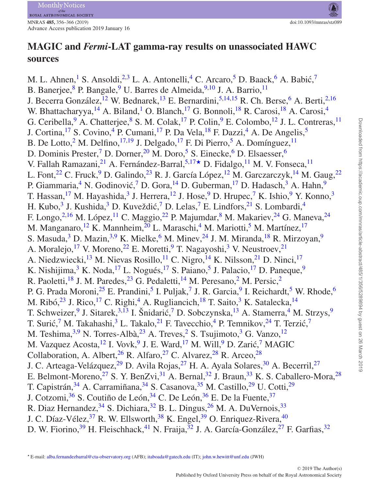# **MAGIC and** *Fermi***-LAT gamma-ray results on unassociated HAWC sources**

<span id="page-0-0"></span>M. L. Ahnen,<sup>[1](#page-9-0)</sup> S. Ansoldi,<sup>[2,](#page-9-1)[3](#page-9-2)</sup> L. A. Antonelli,<sup>[4](#page-9-3)</sup> C. Arcaro,<sup>[5](#page-9-4)</sup> D. Baack,<sup>[6](#page-9-5)</sup> A. Babić,<sup>[7](#page-9-6)</sup> B. Banerjee, <sup>8</sup> P. Bangale, <sup>9</sup> U. Barres de Almeida, <sup>9,[10](#page-9-9)</sup> J. A. Barrio, <sup>[11](#page-9-10)</sup> J. Becerra González, <sup> $12$ </sup> W. Bednarek, <sup>[13](#page-9-12)</sup> E. Bernardini, <sup>[5](#page-9-4)[,14](#page-9-13)[,15](#page-9-14)</sup> R. Ch. Berse, <sup>[6](#page-9-5)</sup> A. Berti, <sup>[2,](#page-9-1)[16](#page-9-15)</sup> W. Bhattacharyya,  $^{14}$  $^{14}$  $^{14}$  $^{14}$  A. Biland, <sup>1</sup> O. Blanch, <sup>[17](#page-9-16)</sup> G. Bonnoli, <sup>[18](#page-9-17)</sup> R. Carosi, <sup>18</sup> A. Carosi, <sup>4</sup> G. Ceribella,  $9A$  $9A$ . Chatterjee,  $8S$ . M. Colak,  $17P$  $17P$ . Colin,  $9E$ . Colombo,  $12J$ . L. Contreras,  $11$ J. Cortina,<sup>[17](#page-9-16)</sup> S. Covino,<sup>[4](#page-9-3)</sup> P. Cumani,<sup>17</sup> P. Da Vela,<sup>[18](#page-9-17)</sup> F. Dazzi,<sup>4</sup> A. De Angelis,<sup>[5](#page-9-4)</sup> B. De Lotto,<sup>[2](#page-9-1)</sup> M. Delfino,<sup>[17,](#page-9-16)[19](#page-9-18)</sup> J. Delgado,<sup>17</sup> F. Di Pierro,<sup>[5](#page-9-4)</sup> A. Domínguez,<sup>11</sup> D. Dominis Prester,<sup>[7](#page-9-6)</sup> D. Dorner,<sup>[20](#page-9-19)</sup> M. Doro,<sup>[5](#page-9-4)</sup> S. Einecke,<sup>6</sup> D. Elsaesser,<sup>6</sup> V. Fallah Ramazani,<sup>[21](#page-9-20)</sup> A. Fernández-Barral,<sup>[5,](#page-9-4)[17](#page-9-16)</sup> D. Fidalgo,<sup>[11](#page-9-10)</sup> M. V. Fonseca,<sup>11</sup> L. Font,<sup>[22](#page-9-21)</sup> C. Fruck,<sup>[9](#page-9-8)</sup> D. Galindo,<sup>[23](#page-9-22)</sup> R. J. García López,<sup>[12](#page-9-11)</sup> M. Garczarczyk,<sup>[14](#page-9-13)</sup> M. Gaug,<sup>22</sup> P. Giammaria,<sup>4</sup> N. Godinović,<sup>[7](#page-9-6)</sup> D. Gora,<sup>[14](#page-9-13)</sup> D. Guberman,<sup>17</sup> D. Hadasch,<sup>[3](#page-9-2)</sup> A. Hahn,<sup>[9](#page-9-8)</sup> T. Hassan,<sup>[17](#page-9-16)</sup> M. Hayashida,<sup>3</sup> J. Herrera,<sup>[12](#page-9-11)</sup> J. Hose,<sup>9</sup> D. Hrupec,<sup>[7](#page-9-6)</sup> K. Ishio,<sup>[9](#page-9-8)</sup> Y. Konno,<sup>[3](#page-9-2)</sup> H. Kubo,<sup>[3](#page-9-2)</sup> J. Kushida,<sup>3</sup> D. Kuveždić,<sup>[7](#page-9-6)</sup> D. Lelas,<sup>7</sup> E. Lindfors,<sup>[21](#page-9-20)</sup> S. Lombardi,<sup>[4](#page-9-3)</sup> F. Longo,<sup>[2](#page-9-1)[,16](#page-9-15)</sup> M. López,<sup>[11](#page-9-10)</sup> C. Maggio,<sup>[22](#page-9-21)</sup> P. Majumdar,<sup>[8](#page-9-7)</sup> M. Makariev,<sup>[24](#page-9-23)</sup> G. Maneva,<sup>24</sup> M. Manganaro, <sup>12</sup> K. Mannheim,  $^{20}$  $^{20}$  $^{20}$  L. Maraschi, <sup>4</sup> M. Mariotti, <sup>[5](#page-9-4)</sup> M. Martínez, <sup>[17](#page-9-16)</sup> S. Masuda, $3$  D. Mazin, $3,9$  $3,9$  K. Mielke,  $6$  M. Minev,  $24$  J. M. Miranda,  $18$  R. Mirzoyan,  $9$ A. Moralejo,<sup>[17](#page-9-16)</sup> V. Moreno,<sup>[22](#page-9-21)</sup> E. Moretti,<sup>[9](#page-9-8)</sup> T. Nagayoshi,<sup>[3](#page-9-2)</sup> V. Neustroev,<sup>[21](#page-9-20)</sup> A. Niedzwiecki,<sup>13</sup> M. Nievas Rosillo,<sup>11</sup> C. Nigro,<sup>[14](#page-9-13)</sup> K. Nilsson,<sup>[21](#page-9-20)</sup> D. Ninci,<sup>[17](#page-9-16)</sup> K. Nishijima, $3$  K. Noda, $17$  L. Nogués, $17$  S. Paiano, $5$  J. Palacio, $17$  D. Paneque, $9$ R. Paoletti,<sup>[18](#page-9-17)</sup> J. M. Paredes,<sup>23</sup> G. Pedaletti,<sup>[14](#page-9-13)</sup> M. Peresano,<sup>[2](#page-9-1)</sup> M. Persic,<sup>2</sup> P. G. Prada Moroni,<sup>[25](#page-9-24)</sup> E. Prandini,<sup>[5](#page-9-4)</sup> I. Puljak,<sup>[7](#page-9-6)</sup> J. R. Garcia,<sup>9</sup> I. Reichardt,<sup>5</sup> W. Rhode,<sup>[6](#page-9-5)</sup> M. Ribó,  $^{23}$  $^{23}$  $^{23}$  J. Rico,  $^{17}$  $^{17}$  $^{17}$  C. Righi,  $^{4}$  $^{4}$  $^{4}$  A. Rugliancich,  $^{18}$  $^{18}$  $^{18}$  T. Saito,  $^{3}$  $^{3}$  $^{3}$  K. Satalecka,  $^{14}$ T. Schweizer, <sup>[9](#page-9-8)</sup> J. Sitarek,  $3,\overline{13}$  $3,\overline{13}$  $3,\overline{13}$  $3,\overline{13}$  I. Šnidarić, <sup>[7](#page-9-6)</sup> D. Sobczynska,  $13$  A. Stamerra, <sup>4</sup> M. Strzys, <sup>9</sup> T. Surić,<sup>[7](#page-9-6)</sup> M. Takahashi,<sup>[3](#page-9-2)</sup> L. Takalo,<sup>[21](#page-9-20)</sup> F. Tavecchio,<sup>[4](#page-9-3)</sup> P. Temnikov,<sup>[24](#page-9-23)</sup> T. Terzić,<sup>7</sup> M. Teshima,  $3.9$  $3.9$  N. Torres-Albà,  $23$  A. Treves,  $2$  S. Tsujimoto,  $3$  G. Vanzo,  $12$ M. Vazquez Acosta, <sup>12</sup> I. Vovk, <sup>[9](#page-9-8)</sup> J. E. Ward, <sup>[17](#page-9-16)</sup> M. Will, <sup>9</sup> D. Zarić, <sup>[7](#page-9-6)</sup> MAGIC Collaboration, A. Albert,  $^{26}$  $^{26}$  $^{26}$  R. Alfaro,  $^{27}$  $^{27}$  $^{27}$  C. Alvarez,  $^{28}$  $^{28}$  $^{28}$  R. Arceo,  $^{28}$ J. C. Arteaga-Velázquez,<sup>[29](#page-9-28)</sup> D. Avila Rojas,<sup>[27](#page-9-26)</sup> H. A. Ayala Solares,<sup>30</sup> A. Becerril,<sup>27</sup> E. Belmont-Moreno,<sup>[27](#page-9-26)</sup> S. Y. BenZvi,<sup>[31](#page-9-30)</sup> A. Bernal,<sup>32</sup> J. Braun,<sup>[33](#page-9-32)</sup> K. S. Caballero-Mora,<sup>[28](#page-9-27)</sup> T. Capistrán,  $34$  A. Carramiñana,  $34$  S. Casanova,  $35$  M. Castillo,  $29$  U. Cotti,  $29$ J. Cotzomi,<sup>[36](#page-9-35)</sup> S. Coutiño de León,<sup>[34](#page-9-33)</sup> C. De León,<sup>36</sup> E. De la Fuente,<sup>[37](#page-9-36)</sup> R. Diaz Hernandez, <sup>34</sup> S. Dichiara, <sup>[32](#page-9-31)</sup> B. L. Dingus, <sup>[26](#page-9-25)</sup> M. A. DuVernois, <sup>[33](#page-9-32)</sup> J. C. Díaz-Vélez, <sup>[37](#page-9-36)</sup> R. W. Ellsworth, <sup>[38](#page-9-37)</sup> K. Engel, <sup>[39](#page-9-38)</sup> O. Enriquez-Rivera, <sup>40</sup> D. W. Fiorino,<sup>[39](#page-9-38)</sup> H. Fleischhack,<sup>[41](#page-9-40)</sup> N. Fraija,<sup>[32](#page-9-31)</sup> J. A. García-González,<sup>[27](#page-9-26)</sup> F. Garfias,<sup>32</sup>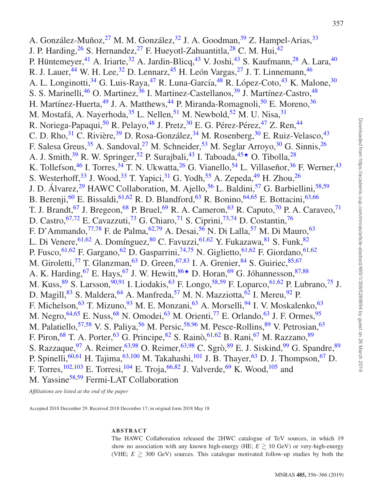A. González-Muñoz,  $^{27}$  $^{27}$  $^{27}$  M. M. González,  $^{32}$  $^{32}$  $^{32}$  J. A. Goodman,  $^{39}$  $^{39}$  $^{39}$  Z. Hampel-Arias,  $^{33}$ J. P. Harding,  $^{26}$  $^{26}$  $^{26}$  S. Hernandez,  $^{27}$  F. Hueyotl-Zahuantitla,  $^{28}$  $^{28}$  $^{28}$  C. M. Hui,  $^{42}$  $^{42}$  $^{42}$ P. Hüntemeyer, <sup>[41](#page-9-40)</sup> A. Iriarte, <sup>[32](#page-9-31)</sup> A. Jardin-Blicq, <sup>[43](#page-9-42)</sup> V. Joshi, <sup>43</sup> S. Kaufmann, <sup>[28](#page-9-27)</sup> A. Lara, <sup>[40](#page-9-39)</sup> R. J. Lauer,  $^{44}$  $^{44}$  $^{44}$  W. H. Lee,  $^{32}$  $^{32}$  $^{32}$  D. Lennarz,  $^{45}$  $^{45}$  $^{45}$  H. León Vargas,  $^{27}$  $^{27}$  $^{27}$  J. T. Linnemann,  $^{46}$  $^{46}$  $^{46}$ A. L. Longinotti,<sup>[34](#page-9-33)</sup> G. Luis-Raya,<sup>[47](#page-10-3)</sup> R. Luna-García,<sup>[48](#page-10-4)</sup> R. López-Coto,<sup>[43](#page-9-42)</sup> K. Malone,<sup>30</sup> S. S. Marinelli,<sup>[46](#page-10-2)</sup> O. Martinez,<sup>36</sup> I. Martinez-Castellanos,<sup>[39](#page-9-38)</sup> J. Martínez-Castro,<sup>[48](#page-10-4)</sup> H. Martínez-Huerta,  $49$  J. A. Matthews,  $44$  P. Miranda-Romagnoli,  $50$  E. Moreno,  $36$ M. Mostafá, A. Nayerhoda,  $3^5$  L. Nellen,  $5^1$  M. Newbold,  $5^2$  M. U. Nisa,  $3^1$ R. Noriega-Papaqui,<sup>[50](#page-10-6)</sup> R. Pelayo,<sup>[48](#page-10-4)</sup> J. Pretz,<sup>30</sup> E. G. Pérez-Pérez,<sup>[47](#page-10-3)</sup> Z. Ren,<sup>[44](#page-10-0)</sup> C. D. Rho,  $31$  C. Rivière,  $39$  D. Rosa-González,  $34$  M. Rosenberg,  $30$  E. Ruiz-Velasco,  $43$ F. Salesa Greus,  $35$  A. Sandoval,  $27$  M. Schneider,  $53$  M. Seglar Arroyo,  $30$  G. Sinnis,  $26$ A. J. Smith,<sup>39</sup> R. W. Springer,<sup>[52](#page-10-8)</sup> P. Surajbali,<sup>[43](#page-9-42)</sup> I. Taboada,<sup>[45](#page-10-1)</sup> O. Tibolla,<sup>[28](#page-9-27)</sup> K. Tollefson,  $^{46}$  $^{46}$  $^{46}$  I. Torres,  $^{34}$  $^{34}$  $^{34}$  T. N. Ukwatta,  $^{26}$  $^{26}$  $^{26}$  G. Vianello,  $^{54}$  L. Villaseñor,  $^{36}$  $^{36}$  $^{36}$  F. Werner,  $^{43}$  $^{43}$  $^{43}$ S. Westerhoff,<sup>[33](#page-9-32)</sup> J. Wood,<sup>33</sup> T. Yapici,<sup>[31](#page-9-30)</sup> G. Yodh,<sup>[55](#page-10-11)</sup> A. Zepeda,<sup>[49](#page-10-5)</sup> H. Zhou,<sup>[26](#page-9-25)</sup> J. D. Álvarez,<sup>[29](#page-9-28)</sup> HAWC Collaboration, M. Ajello,<sup>[56](#page-10-12)</sup> L. Baldini,<sup>[57](#page-10-13)</sup> G. Barbiellini,<sup>[58](#page-10-14)[,59](#page-10-15)</sup> B. Berenji, <sup>[60](#page-10-16)</sup> E. Bissaldi, <sup>[61](#page-10-17), 62</sup> R. D. Blandford, <sup>[63](#page-10-19)</sup> R. Bonino, <sup>64, [65](#page-10-21)</sup> E. Bottacini, <sup>63, 66</sup> T. J. Brandt, <sup>[67](#page-10-23)</sup> J. Bregeon, <sup>[68](#page-10-24)</sup> P. Bruel, <sup>[69](#page-10-25)</sup> R. A. Cameron, <sup>[63](#page-10-19)</sup> R. Caputo, <sup>[70](#page-10-26)</sup> P. A. Caraveo, <sup>71</sup> D. Castro, <sup>[67,](#page-10-23)[72](#page-10-28)</sup> E. Cavazzuti, <sup>[73](#page-10-29)</sup> G. Chiaro, <sup>[71](#page-10-27)</sup> S. Ciprini, <sup>[73,](#page-10-29)[74](#page-10-30)</sup> D. Costantin, <sup>[76](#page-10-31)</sup> F. D'Ammando,  $^{77,78}$  $^{77,78}$  $^{77,78}$  $^{77,78}$  F. de Palma,  $^{62,79}$  $^{62,79}$  $^{62,79}$  $^{62,79}$  A. Desai,  $^{56}$  $^{56}$  $^{56}$  N. Di Lalla,  $^{57}$  M. Di Mauro,  $^{63}$ L. Di Venere, <sup>[61](#page-10-17)[,62](#page-10-18)</sup> A. Domínguez, <sup>80</sup> C. Favuzzi, <sup>[61,](#page-10-17)[62](#page-10-18)</sup> Y. Fukazawa, <sup>81</sup> S. Funk, <sup>[82](#page-10-37)</sup> P. Fusco,  $61,62$  $61,62$  F. Gargano,  $62$  D. Gasparrini,  $74,75$  $74,75$  N. Giglietto,  $61,62$  $61,62$  F. Giordano,  $61,62$ M. Giroletti,<sup>[77](#page-10-32)</sup> T. Glanzman,<sup>63</sup> D. Green,<sup>[67](#page-10-23)[,83](#page-10-39)</sup> I. A. Grenier, <sup>[84](#page-10-40)</sup> S. Guiriec, <sup>[85,](#page-10-41)67</sup> A. K. Harding, <sup>[67](#page-10-23)</sup> E. Hays, <sup>67</sup> J. W. Hewitt,  $86 \star$  $86 \star$  D. Horan, <sup>[69](#page-10-25)</sup> G. Jóhannesson, <sup>[87,](#page-10-43)[88](#page-10-44)</sup> M. Kuss, <sup>[89](#page-10-45)</sup> S. Larsson, <sup>[90](#page-10-46)[,91](#page-10-47)</sup> I. Liodakis, <sup>[63](#page-10-19)</sup> F. Longo, <sup>[58,](#page-10-14)[59](#page-10-15)</sup> F. Loparco, <sup>[61,](#page-10-17)[62](#page-10-18)</sup> P. Lubrano, <sup>[75](#page-10-38)</sup> J. D. Magill,<sup>[83](#page-10-39)</sup> S. Maldera,<sup>[64](#page-10-20)</sup> A. Manfreda,<sup>[57](#page-10-13)</sup> M. N. Mazziotta,<sup>62</sup> I. Mereu,<sup>[92](#page-10-48)</sup> P. F. Michelson,  $^{63}$  $^{63}$  $^{63}$  T. Mizuno,  $^{93}$  $^{93}$  $^{93}$  M. E. Monzani,  $^{63}$  A. Morselli,  $^{94}$  $^{94}$  $^{94}$  I. V. Moskalenko,  $^{63}$ M. Negro, <sup>[64](#page-10-20)[,65](#page-10-21)</sup> E. Nuss, <sup>[68](#page-10-24)</sup> N. Omodei, <sup>[63](#page-10-19)</sup> M. Orienti, <sup>[77](#page-10-32)</sup> E. Orlando, <sup>63</sup> J. F. Ormes, <sup>[95](#page-10-51)</sup> M. Palatiello,  $57,58$  $57,58$  V. S. Paliya,  $56$  M. Persic,  $58,96$  $58,96$  M. Pesce-Rollins,  $89$  V. Petrosian,  $63$ F. Piron,  $^{68}$  $^{68}$  $^{68}$  T. A. Porter,  $^{63}$  $^{63}$  $^{63}$  G. Principe,  $^{82}$  $^{82}$  $^{82}$  S. Rainò,  $^{61,62}$  $^{61,62}$  $^{61,62}$  $^{61,62}$  B. Rani,  $^{67}$  $^{67}$  $^{67}$  M. Razzano,  $^{89}$ S. Razzaque, <sup>97</sup> A. Reimer, <sup>63[,98](#page-10-54)</sup> O. Reimer, <sup>63,98</sup> C. Sgrò, <sup>[89](#page-10-45)</sup> E. J. Siskind, <sup>99</sup> G. Spandre, <sup>89</sup> P. Spinelli,<sup>[60](#page-10-16)[,61](#page-10-17)</sup> H. Tajima,<sup>[63,](#page-10-19)[100](#page-10-56)</sup> M. Takahashi,<sup>[101](#page-10-57)</sup> J. B. Thayer,<sup>[63](#page-10-19)</sup> D. J. Thompson,<sup>[67](#page-10-23)</sup> D. F. Torres,<sup>[102](#page-10-58)[,103](#page-10-59)</sup> E. Torresi,<sup>[104](#page-10-60)</sup> E. Troja,<sup>[66](#page-10-22)[,82](#page-10-37)</sup> J. Valverde,<sup>[69](#page-10-25)</sup> K. Wood,<sup>[105](#page-10-61)</sup> and M. Yassine<sup>58,[59](#page-10-15)</sup> Fermi-LAT Collaboration

*Affiliations are listed at the end of the paper*

Accepted 2018 December 29. Received 2018 December 17; in original form 2018 May 18

# **ABSTRACT**

The HAWC Collaboration released the 2HWC catalogue of TeV sources, in which 19 show no association with any known high-energy (HE;  $E \gtrsim 10 \text{ GeV}$ ) or very-high-energy (VHE;  $E \gtrsim 300$  GeV) sources. This catalogue motivated follow-up studies by both the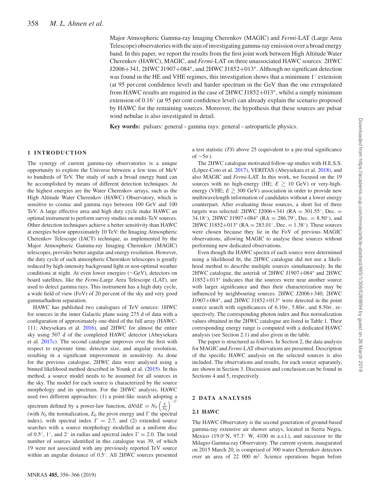Major Atmospheric Gamma-ray Imaging Cherenkov (MAGIC) and *Fermi*-LAT (Large Area Telescope) observatories with the aim of investigating gamma-ray emission over a broad energy band. In this paper, we report the results from the first joint work between High Altitude Water Cherenkov (HAWC), MAGIC, and *Fermi*-LAT on three unassociated HAWC sources: 2HWC J2006+341, 2HWC J1907+084∗, and 2HWC J1852+013∗. Although no significant detection was found in the HE and VHE regimes, this investigation shows that a minimum  $1^\circ$  extension (at 95 per cent confidence level) and harder spectrum in the GeV than the one extrapolated from HAWC results are required in the case of 2HWC J1852+013∗, whilst a simply minimum extension of 0.16◦ (at 95 per cent confidence level) can already explain the scenario proposed by HAWC for the remaining sources. Moreover, the hypothesis that these sources are pulsar wind nebulae is also investigated in detail.

**Key words:** pulsars: general – gamma rays: general – astroparticle physics.

# **1 INTRODUCTION**

The synergy of current gamma-ray observatories is a unique opportunity to explore the Universe between a few tens of MeV to hundreds of TeV. The study of such a broad energy band can be accomplished by means of different detection techniques. At the highest energies are the Water Cherenkov arrays, such as the High Altitude Water Cherenkov (HAWC) Observatory, which is sensitive to cosmic and gamma rays between 100 GeV and 100 TeV. A large effective area and high duty cycle make HAWC an optimal instrument to perform survey studies on multi-TeV sources. Other detection techniques achieve a better sensitivity than HAWC at energies below approximately 10 TeV: the Imaging Atmospheric Cherenkov Telescope (IACT) technique, as implemented by the Major Atmospheric Gamma-ray Imaging Cherenkov (MAGIC) telescopes, provides better angular and energy resolution. However, the duty cycle of such atmospheric Cherenkov telescopes is greatly reduced by high-intensity background light or non-optimal weather conditions at night. At even lower energies (∼GeV), detectors on board satellites, like the *Fermi*-Large Area Telescope (LAT), are used to detect gamma rays. This instrument has a high duty cycle, a wide field of view (FoV) of 20 per cent of the sky and very good gamma/hadron separation.

HAWC has published two catalogues of TeV sources: 1HWC for sources in the inner Galactic plane using 275 d of data with a configuration of approximately one-third of the full array (HAWC-111; Abeysekara et al. [2016\)](#page-9-43), and 2HWC for almost the entire sky using 507 d of the completed HAWC detector (Abeysekara et al. [2017c\)](#page-9-44). The second catalogue improves over the first with respect to exposure time, detector size, and angular resolution, resulting in a significant improvement in sensitivity. As done for the previous catalogue, 2HWC data were analysed using a binned likelihood method described in Younk et al. [\(2015\)](#page-9-45). In this method, a source model needs to be assumed for all sources in the sky. The model for each source is characterized by the source morphology and its spectrum. For the 2HWC analysis, HAWC used two different approaches: (1) a point-like search adopting a spectrum defined by a power-law function,  $dN/dE = N_0 \left(\frac{E}{E_0}\right)^{-1}$ (with  $N_0$  the normalization,  $E_0$  the pivot energy and  $\Gamma$  the spectral index), with spectral index  $\Gamma = 2.7$ , and (2) extended source searches with a source morphology modelled as a uniform disc of 0.5 $^{\circ}$ , 1 $^{\circ}$ , and 2 $^{\circ}$  in radius and spectral index  $\Gamma = 2.0$ . The total number of sources identified in this catalogue was 39, of which 19 were not associated with any previously reported TeV source within an angular distance of 0.5◦. All 2HWC sources presented

a test statistic (*TS*) above 25 (equivalent to a pre-trial significance of ∼5*σ*).

The 2HWC catalogue motivated follow-up studies with H.E.S.S. (López-Coto et al. [2017\)](#page-9-46), VERITAS (Abeysekara et al. [2018\)](#page-9-47), and also MAGIC and *Fermi*-LAT. In this work, we focused on the 19 sources with no high-energy (HE;  $E \gtrsim 10 \text{ GeV}$ ) or very-highenergy (VHE;  $E \gtrsim 300 \text{ GeV}$ ) association in order to provide new multiwavelength information of candidates without a lower energy counterpart. After evaluating those sources, a short list of three targets was selected: 2HWC J2006+341 ( $RA = 301.55^{\circ}$ , Dec. = 34.18<sup>°</sup>), 2HWC J1907+084<sup>\*</sup> (RA = 286.79<sup>°</sup>, Dec. = 8.50<sup>°</sup>), and 2HWC J1852+013<sup>\*</sup> (RA = 283.01<sup>°</sup>, Dec. = 1.38<sup>°</sup>). These sources were chosen because they lie in the FoV of previous MAGIC observations, allowing MAGIC to analyse these sources without performing new dedicated observations.

Even though the HAWC spectra of each source were determined using a likelihood fit, the 2HWC catalogue did not use a likelihood method to describe multiple sources simultaneously. In the 2HWC catalogue, the asterisk of 2HWC J1907+084<sup>∗</sup> and 2HWC J1852+013<sup>∗</sup> indicates that the sources were near another source with larger significance and thus their characterization may be influenced by neighbouring sources. 2HWC J2006+340, 2HWC J1907+084∗, and 2HWC J1852+013<sup>∗</sup> were detected in the point source search with significances of 6.10*σ*, 5.80*σ*, and 8.50*σ*, respectively. The corresponding photon index and flux normalization values obtained in the 2HWC catalogue are listed in Table [1.](#page-3-0) Their corresponding energy range is computed with a dedicated HAWC analysis (see Section 2.1) and also given in the table.

The paper is structured as follows. In Section 2, the data analysis for MAGIC and *Fermi*-LAT observations are presented. Description of the specific HAWC analysis on the selected sources is also included. The observations and results, for each source separately, are shown in Section 3. Discussion and conclusion can be found in Sections 4 and 5, respectively.

# **2 DATA ANALYSIS**

# **2.1 HAWC**

The HAWC Observatory is the second generation of ground-based gamma-ray extensive air shower arrays, located in Sierra Negra, Mexico (19.0 $\degree$ N, 97.3 $\degree$  W, 4100 m a.s.l.), and successor to the Milagro Gamma-ray Observatory. The current system, inaugurated on 2015 March 20, is comprised of 300 water Cherenkov detectors over an area of 22 000 m2. Science operations began before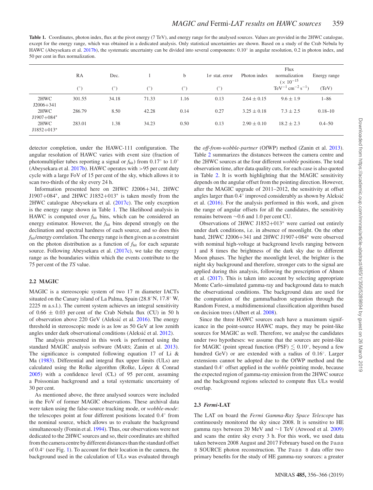<span id="page-3-0"></span>Table 1. Coordinates, photon index, flux at the pivot energy (7 TeV), and energy range for the analysed sources. Values are provided in the 2HWC catalogue, except for the energy range, which was obtained in a dedicated analysis. Only statistical uncertainties are shown. Based on a study of the Crab Nebula by HAWC (Abeysekara et al. [2017b\)](#page-9-48), the systematic uncertainty can be divided into several components:  $0.10°$  in angular resolution, 0.2 in photon index, and 50 per cent in flux normalization.

|                       | RA         | Dec.       |            | b          | $1\sigma$ stat. error | Photon index    | Flux<br>normalization<br>$(x 10^{-15})$            | Energy range |
|-----------------------|------------|------------|------------|------------|-----------------------|-----------------|----------------------------------------------------|--------------|
|                       | $(^\circ)$ | $(^\circ)$ | $(^\circ)$ | $(^\circ)$ | $(^\circ)$            |                 | $\text{TeV}^{-1} \text{ cm}^{-2} \text{ s}^{-1}$ ) | (TeV)        |
| 2HWC<br>$J2006 + 341$ | 301.55     | 34.18      | 71.33      | 1.16       | 0.13                  | $2.64 \pm 0.15$ | $9.6 \pm 1.9$                                      | $1 - 86$     |
| 2HWC<br>$J1907+084*$  | 286.79     | 8.50       | 42.28      | 0.14       | 0.27                  | $3.25 \pm 0.18$ | $7.3 \pm 2.5$                                      | $0.18 - 10$  |
| 2HWC<br>$J1852+013*$  | 283.01     | 1.38       | 34.23      | 0.50       | 0.13                  | $2.90 \pm 0.10$ | $18.2 \pm 2.3$                                     | $0.4 - 50$   |

detector completion, under the HAWC-111 configuration. The angular resolution of HAWC varies with event size (fraction of photomultiplier tubes reporting a signal or *f*hit) from 0.17◦ to 1.0◦ (Abeysekara et al. [2017b\)](#page-9-48). HAWC operates with *>*95 per cent duty cycle with a large FoV of 15 per cent of the sky, which allows it to scan two-thirds of the sky every 24 h.

Information presented here on 2HWC J2006+341, 2HWC J1907+084∗, and 2HWC J1852+013<sup>∗</sup> is taken mostly from the 2HWC catalogue Abeysekara et al. [\(2017c\)](#page-9-44). The only exception is the energy range shown in Table [1.](#page-3-0) The likelihood analysis in HAWC is computed over  $f<sub>hit</sub>$  bins, which can be considered an energy estimator. However, the *f*hit bins depend strongly on the declination and spectral hardness of each source, and so does this *f*hit/energy correlation. The energy range is then given as a constraint on the photon distribution as a function of *f*hit for each separate source. Following Abeysekara et al. [\(2017c\)](#page-9-44), we take the energy range as the boundaries within which the events contribute to the 75 per cent of the *TS* value.

# **2.2 MAGIC**

MAGIC is a stereoscopic system of two 17 m diameter IACTs situated on the Canary island of La Palma, Spain (28.8◦N, 17.8◦ W, 2225 m a.s.l.). The current system achieves an integral sensitivity of  $0.66 \pm 0.03$  per cent of the Crab Nebula flux (CU) in 50 h of observation above 220 GeV (Aleksić et al. [2016\)](#page-9-49). The energy threshold in stereoscopic mode is as low as 50 GeV at low zenith angles under dark observational conditions (Aleksić et al. [2012\)](#page-9-50).

The analysis presented in this work is performed using the standard MAGIC analysis software (MARS; Zanin et al. [2013\)](#page-9-51). The significance is computed following equation 17 of Li & Ma [\(1983\)](#page-9-52). Differential and integral flux upper limits (ULs) are calculated using the Rolke algorithm (Rolke, López  $&$  Conrad [2005\)](#page-9-53) with a confidence level (CL) of 95 per cent, assuming a Poissonian background and a total systematic uncertainty of 30 per cent.

As mentioned above, the three analysed sources were included in the FoV of former MAGIC observations. These archival data were taken using the false-source tracking mode, or *wobble-mode*: the telescopes point at four different positions located 0.4◦ from the nominal source, which allows us to evaluate the background simultaneously (Fomin et al. [1994\)](#page-9-54). Thus, our observations were not dedicated to the 2HWC sources and so, their coordinates are shifted from the camera centre by different distances than the standard offset of 0.4◦ (see Fig. [1\)](#page-4-0). To account for their location in the camera, the background used in the calculation of ULs was evaluated through

the *off-from-wobble-partner* (OfWP) method (Zanin et al. [2013\)](#page-9-51). Table [2](#page-4-1) summarizes the distances between the camera centre and the 2HWC sources at the four different *wobble* positions. The total observation time, after data quality cuts, for each case is also quoted in Table [2.](#page-4-1) It is worth highlighting that the MAGIC sensitivity depends on the angular offset from the pointing direction. However, after the MAGIC upgrade of 2011–2012, the sensitivity at offset angles larger than  $0.4°$  improved considerably as shown by Aleksić et al. [\(2016\)](#page-9-49). For the analysis performed in this work, and given the range of angular offsets for all the candidates, the sensitivity remains between ∼0.6 and 1.0 per cent CU.

Observations of 2HWC J1852+013<sup>∗</sup> were carried out entirely under dark conditions, i.e. in absence of moonlight. On the other hand, 2HWC J2006+341 and 2HWC J1907+084<sup>∗</sup> were observed with nominal high-voltage at background levels ranging between 1 and 8 times the brightness of the dark sky due to different Moon phases. The higher the moonlight level, the brighter is the night sky background and therefore, stronger cuts to the signal are applied during this analysis, following the prescription of Ahnen et al. [\(2017\)](#page-9-55). This is taken into account by selecting appropriate Monte Carlo-simulated gamma-ray and background data to match the observational conditions. The background data are used for the computation of the gamma/hadron separation through the Random Forest, a multidimensional classification algorithm based on decision trees (Albert et al. [2008\)](#page-9-56).

Since the three HAWC sources each have a maximum significance in the point-source HAWC maps, they may be point-like sources for MAGIC as well. Therefore, we analyse the candidates under two hypotheses: we assume that the sources are point-like for MAGIC (point spread function (PSF)  $\leq 0.10^{\circ}$ , beyond a few hundred GeV) or are extended with a radius of 0.16◦. Larger extensions cannot be adopted due to the OfWP method and the standard 0.4◦ offset applied in the *wobble* pointing mode, because the expected region of gamma-ray emission from the 2HWC source and the background regions selected to compute flux ULs would overlap.

#### **2.3** *Fermi***-LAT**

The LAT on board the *Fermi Gamma-Ray Space Telescope* has continuously monitored the sky since 2008. It is sensitive to HE gamma rays between 20 MeV and ∼1 TeV (Atwood et al. [2009\)](#page-9-57) and scans the entire sky every 3 h. For this work, we used data taken between 2008 August and 2017 February based on the Pass 8 SOURCE photon reconstruction. The Pass 8 data offer two primary benefits for the study of HE gamma-ray sources: a greater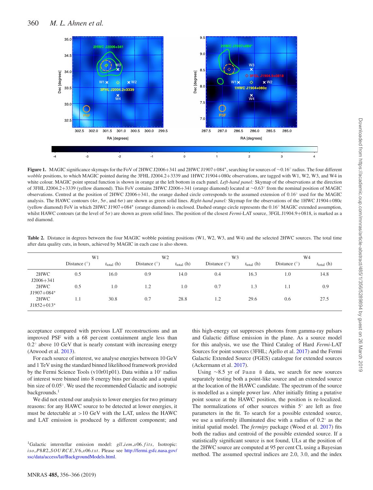<span id="page-4-0"></span>

**Figure 1.** MAGIC significance skymaps for the FoV of 2HWC J2006+341 and 2HWC J1907+084∗, searching for sources of ∼0.16◦ radius. The four different *wobble* positions, to which MAGIC pointed during the 3FHL J2004.2+3339 and 1HWC J1904+080c observations, are tagged with W1, W2, W3, and W4 in white colour. MAGIC point spread function is shown in orange at the left bottom in each panel. *Left-hand panel:* Skymap of the observations at the direction of 3FHL J2004.2+3339 (yellow diamond). This FoV contains 2HWC J2006+341 (orange diamond) located at ∼0.63◦ from the nominal position of MAGIC observations. Centred at the position of 2HWC J2006+341, the orange dashed circle corresponds to the assumed extension of 0.16◦ used for the MAGIC analysis. The HAWC contours (4*σ*, 5*σ*, and 6*σ*) are shown as green solid lines. *Right-hand panel:* Skymap for the observations of the 1HWC J1904+080c (yellow diamond) FoV in which 2HWC J1907+084<sup>∗</sup> (orange diamond) is enclosed. Dashed orange circle represents the 0.16◦ MAGIC extended assumption, whilst HAWC contours (at the level of 5*σ*) are shown as green solid lines. The position of the closest *Fermi*-LAT source, 3FGL J1904.9+0818, is marked as a red diamond.

<span id="page-4-1"></span>**Table 2.** Distance in degrees between the four MAGIC wobble pointing positions (W1, W2, W3, and W4) and the selected 2HWC sources. The total time after data quality cuts, in hours, achieved by MAGIC in each case is also shown.

|                       | W1             |                        | W <sub>2</sub> |                        | W3             |                        | W4             |                        |
|-----------------------|----------------|------------------------|----------------|------------------------|----------------|------------------------|----------------|------------------------|
|                       | Distance $(°)$ | $t_{\text{total}}$ (h) | Distance $(°)$ | $t_{\text{total}}$ (h) | Distance $(°)$ | $t_{\text{total}}$ (h) | Distance $(°)$ | $t_{\text{total}}$ (h) |
| 2HWC<br>$J2006 + 341$ | 0.5            | 16.0                   | 0.9            | 14.0                   | 0.4            | 16.3                   | 1.0            | 14.8                   |
| 2HWC<br>$J1907+084*$  | 0.5            | 1.0                    | 1.2            | 1.0                    | 0.7            | 1.3                    | 1.1            | 0.9                    |
| 2HWC<br>$J1852+013*$  | 1.1            | 30.8                   | 0.7            | 28.8                   | 1.2            | 29.6                   | 0.6            | 27.5                   |

acceptance compared with previous LAT reconstructions and an improved PSF with a 68 per cent containment angle less than 0.2◦ above 10 GeV that is nearly constant with increasing energy (Atwood et al. [2013\)](#page-9-58).

For each source of interest, we analyse energies between 10 GeV and 1 TeV using the standard binned likelihood framework provided by the Fermi Science Tools (v10r01p01). Data within a 10◦ radius of interest were binned into 8 energy bins per decade and a spatial bin size of 0.05◦. We used the recommended Galactic and isotropic backgrounds.<sup>1</sup>

We did not extend our analysis to lower energies for two primary reasons: for any HAWC source to be detected at lower energies, it must be detectable at *>*10 GeV with the LAT, unless the HAWC and LAT emission is produced by a different component; and this high-energy cut suppresses photons from gamma-ray pulsars and Galactic diffuse emission in the plane. As a source model for this analysis, we use the Third Catalog of Hard *Fermi*-LAT Sources for point sources (3FHL; Ajello et al. [2017\)](#page-9-59) and the Fermi Galactic Extended Source (FGES) catalogue for extended sources (Ackermann et al. [2017\)](#page-9-60).

Using ∼8.5 yr of Pass 8 data, we search for new sources separately testing both a point-like source and an extended source at the location of the HAWC candidate. The spectrum of the source is modelled as a simple power law. After initially fitting a putative point source at the HAWC position, the position is re-localized. The normalizations of other sources within 5◦ are left as free parameters in the fit. To search for a possible extended source, we use a uniformly illuminated disc with a radius of 0.2◦ as the initial spatial model. The *fermipy* package (Wood et al. [2017\)](#page-9-61) fits both the radius and centroid of the possible extended source. If a statistically significant source is not found, ULs at the position of the 2HWC source are computed at 95 per cent CL using a Bayesian method. The assumed spectral indices are 2.0, 3.0, and the index

<sup>1</sup>Galactic interstellar emission model: *gll iem v*06*.f its*, Isotropic: *iso P*8*R*2 *SOURCE V* 6 *v*06*.txt*. Please see http://fermi.gsfc.nasa.gov/ [ssc/data/access/lat/BackgroundModels.html.](http://fermi.gsfc.nasa.gov/ssc/data/access/lat/BackgroundModels.html)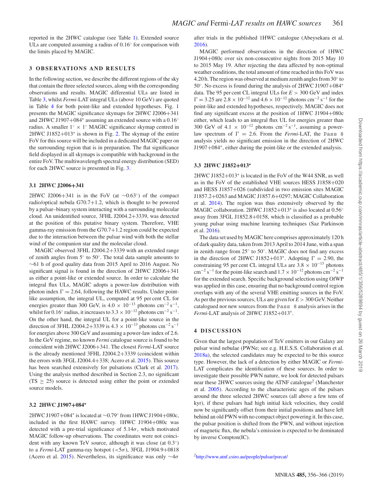reported in the 2HWC catalogue (see Table [1\)](#page-3-0). Extended source ULs are computed assuming a radius of 0.16◦ for comparison with the limits placed by MAGIC.

# **3 OBSERVATIONS AND RESULTS**

In the following section, we describe the different regions of the sky that contain the three selected sources, along with the corresponding observations and results. MAGIC differential ULs are listed in Table [3,](#page-6-0) whilst *Fermi*-LAT integral ULs (above 10 GeV) are quoted in Table [4](#page-6-1) for both point-like and extended hypotheses. Fig. [1](#page-4-0) presents the MAGIC significance skymaps for 2HWC J2006+341 and 2HWC J1907+084<sup>∗</sup> assuming an extended source with a 0.16◦ radius. A smaller  $1° \times 1°$  MAGIC significance skymap centred in 2HWC J1852+013<sup>∗</sup> is shown in Fig. [2.](#page-6-2) The skymap of the entire FoV for this source will be included in a dedicated MAGIC paper on the surrounding region that is in preparation. The flat significance field displayed in all skymaps is compatible with background in the entire FoV. The multiwavelength spectral energy distribution (SED) for each 2HWC source is presented in Fig. [3.](#page-7-0)

#### **3.1 2HWC J2006+341**

2HWC J2006+341 is in the FoV (at  $\sim$ 0.63°) of the compact radio/optical nebula G70.7+1.2, which is thought to be powered by a pulsar–binary system interacting with a surrounding molecular cloud. An unidentified source, 3FHL J2004.2+3339, was detected at the position of this putative binary system. Therefore, VHE gamma-ray emission from the G70.7+1.2 region could be expected due to the interaction between the pulsar wind with both the stellar wind of the companion star and the molecular cloud.

MAGIC observed 3FHL J2004.2+3339 with an extended range of zenith angles from 5◦ to 50◦. The total data sample amounts to ∼61 h of good quality data from 2015 April to 2016 August. No significant signal is found in the direction of 2HWC J2006+341 as either a point-like or extended source. In order to calculate the integral flux ULs, MAGIC adopts a power-law distribution with photon index  $\Gamma = 2.64$ , following the HAWC results. Under pointlike assumption, the integral UL, computed at 95 per cent CL for energies greater than 300 GeV, is  $4.0 \times 10^{-13}$  photons cm<sup>-2</sup> s<sup>-1</sup>, whilst for 0.16 $\degree$  radius, it increases to 3.3 × 10<sup>-12</sup> photons cm<sup>-2</sup> s<sup>-1</sup>. On the other hand, the integral UL for a point-like source in the direction of 3FHL J2004.2+3339 is  $4.3 \times 10^{-13}$  photons cm<sup>-2</sup> s<sup>-1</sup> for energies above 300 GeV and assuming a power-law index of 2.6. In the GeV regime, no known *Fermi* catalogue source is found to be coincident with 2HWC J2006+341. The closest *Fermi*-LAT source is the already mentioned 3FHL J2004.2+3339 (coincident within the errors with 3FGL J2004.4+338; Acero et al. [2015\)](#page-9-62). This source has been searched extensively for pulsations (Clark et al. [2017\)](#page-9-63). Using the analysis method described in Section 2.3, no significant  $(TS \ge 25)$  source is detected using either the point or extended source models.

# **3.2 2HWC J1907+084<sup>∗</sup>**

2HWC J1907+084<sup>∗</sup> is located at ∼0.79◦ from 1HWC J1904+080c, included in the first HAWC survey. 1HWC J1904+080c was detected with a pre-trial significance of 5.14*σ*, which motivated MAGIC follow-up observations. The coordinates were not coincident with any known TeV source, although it was close (at 0.3◦) to a *Fermi*-LAT gamma-ray hotspot (*<*5*σ*), 3FGL J1904.9+0818 (Acero et al. [2015\)](#page-9-62). Nevertheless, its significance was only ∼4*σ*

after trials in the published 1HWC catalogue (Abeysekara et al. [2016\)](#page-9-43).

MAGIC performed observations in the direction of 1HWC J1904+080c over six non-consecutive nights from 2015 May 10 to 2015 May 19. After rejecting the data affected by non-optimal weather conditions, the total amount of time reached in this FoV was 4.20 h. The region was observed at medium zenith angles from 30◦ to 50◦. No excess is found during the analysis of 2HWC J1907+084<sup>∗</sup> data. The 95 per cent CL integral ULs for *E >* 300 GeV and index  $\Gamma = 3.25$  are  $2.8 \times 10^{-12}$  and  $4.6 \times 10^{-12}$  photons cm<sup>-2</sup> s<sup>-1</sup> for the point-like and extended hypotheses, respectively. MAGIC does not find any significant excess at the position of 1HWC J1904+080c either, which leads to an integral flux UL for energies greater than 300 GeV of 4.1  $\times$  10<sup>-12</sup> photons cm<sup>-2</sup> s<sup>-1</sup>, assuming a powerlaw spectrum of  $\Gamma = 2.6$ . From the *Fermi*-LAT, the Pass 8 analysis yields no significant emission in the direction of 2HWC J1907+084<sup>∗</sup>, either during the point-like or the extended analysis.

# **3.3 2HWC J1852+013<sup>∗</sup>**

2HWC J1852+013<sup>∗</sup> is located in the FoV of the W44 SNR, as well as in the FoV of the established VHE sources HESS J1858+020 and HESS J1857+026 (subdivided in two emission sites MAGIC J1857.2+0263 and MAGIC J1857.6+0297; MAGIC Collaboration et al. [2014\)](#page-9-64). The region was thus extensively observed by the MAGIC collaboration. 2HWC J1852+013<sup>∗</sup> is also located at 0.56◦ away from 3FGL J1852.8+0158, which is classified as a probable young pulsar using machine learning techniques (Saz Parkinson et al. [2016\)](#page-9-65).

The data set used by MAGIC here comprises approximately 120 h of dark quality data, taken from 2013 April to 2014 June, with a span in zenith range from 25◦ to 50◦. MAGIC does not find any excess in the direction of 2HWC J1852+013<sup>∗</sup>. Adopting  $\Gamma = 2.90$ , the constraining 95 per cent CL integral ULs are  $3.8 \times 10^{-13}$  photons  $\text{cm}^{-2} \text{ s}^{-1}$  for the point-like search and  $1.7 \times 10^{-12}$  photons cm<sup>-2</sup> s<sup>-1</sup> for the extended search. Specific background selection using OfWP was applied in this case, ensuring that no background control region overlaps with any of the several VHE emitting sources in the FoV. As per the previous sources, ULs are given for *E >* 300 GeV. Neither catalogued nor new sources from the Pass 8 analysis arises in the *Fermi*-LAT analysis of 2HWC J1852+013∗.

# **4 DISCUSSION**

Given that the largest population of TeV emitters in our Galaxy are pulsar wind nebulae (PWNe; see e.g. H.E.S.S. Collaboration et al. [2018a\)](#page-9-66), the selected candidates may be expected to be this source type. However, the lack of a detection by either MAGIC or *Fermi*-LAT complicates the identification of these sources. In order to investigate their possible PWN nature, we look for detected pulsars near these 2HWC sources using the ATNF catalogue<sup>2</sup> (Manchester et al. [2005\)](#page-9-67). According to the characteristic ages of the pulsars around the three selected 2HWC sources (all above a few tens of kyr), if these pulsars had high initial kick velocities, they could now be significantly offset from their initial positions and have left behind an old PWN with no compact object powering it. In this case, the pulsar position is shifted from the PWN, and without injection of magnetic flux, the nebula's emission is expected to be dominated by inverse Compton(IC).

[2http://www.atnf.csiro.au/people/pulsar/psrcat/](http://www.atnf.csiro.au/people/pulsar/psrcat/)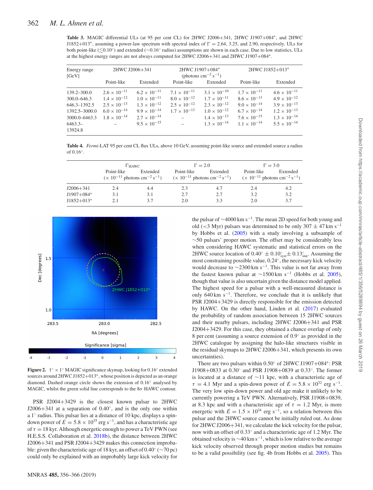<span id="page-6-0"></span>**Table 3.** MAGIC differential ULs (at 95 per cent CL) for 2HWC J2006+341, 2HWC J1907+084∗, and 2HWC J1852+013<sup>\*</sup>, assuming a power-law spectrum with spectral index of  $\Gamma = 2.64$ , 3.25, and 2.90, respectively. ULs for both point-like (≤0.10°) and extended (∼0.16° radius) assumptions are shown in each case. Due to low statistics, ULs at the highest energy ranges are not always computed for 2HWC J2006+341 and 2HWC J1907+084∗.

| Energy range<br>[GeV] |                       | 2HWC J2006+341        |                       | 2HWC J1907+084*<br>(photons $\text{cm}^{-2} \text{ s}^{-1}$ ) | 2HWC J1852+013*       |                       |
|-----------------------|-----------------------|-----------------------|-----------------------|---------------------------------------------------------------|-----------------------|-----------------------|
|                       | Point-like            | Extended              | Point-like            | Extended                                                      | Point-like            | Extended              |
| $139.2 - 300.0$       | $2.6 \times 10^{-11}$ | $6.2 \times 10^{-11}$ | $7.1 \times 10^{-11}$ | $3.1 \times 10^{-10}$                                         | $1.7 \times 10^{-11}$ | $4.6 \times 10^{-11}$ |
| $300.0 - 646.3$       | $1.4 \times 10^{-12}$ | $1.0 \times 10^{-11}$ | $8.0 \times 10^{-12}$ | $1.7 \times 10^{-11}$                                         | $8.6 \times 10^{-13}$ | $4.9 \times 10^{-12}$ |
| 646.3-1392.5          | $2.5 \times 10^{-13}$ | $1.3 \times 10^{-12}$ | $2.5 \times 10^{-12}$ | $2.3 \times 10^{-12}$                                         | $9.0 \times 10^{-14}$ | $3.9 \times 10^{-13}$ |
| 1392.5-3000.0         | $6.0 \times 10^{-14}$ | $9.9 \times 10^{-14}$ | $1.7 \times 10^{-13}$ | $1.0 \times 10^{-12}$                                         | $6.7 \times 10^{-14}$ | $1.2 \times 10^{-13}$ |
| 3000.0-6463.3         | $1.8 \times 10^{-14}$ | $2.7 \times 10^{-14}$ | $\sim$                | $1.4 \times 10^{-13}$                                         | $7.6 \times 10^{-15}$ | $1.3 \times 10^{-14}$ |
| $6463.3-$<br>13924.8  |                       | $9.5 \times 10^{-15}$ |                       | $1.3 \times 10^{-14}$                                         | $1.1 \times 10^{-14}$ | $5.5 \times 10^{-14}$ |

<span id="page-6-1"></span>**Table 4.** *Fermi*-LAT 95 per cent CL flux ULs, above 10 GeV, assuming point-like source and extended source a radius of  $0.16°$ .

|              | $\Gamma_{\text{HAWC}}$ |                                                                      |            | $\Gamma = 2.0$                                                                                                                    | $\Gamma = 3.0$ |          |
|--------------|------------------------|----------------------------------------------------------------------|------------|-----------------------------------------------------------------------------------------------------------------------------------|----------------|----------|
|              | Point-like             | Extended<br>$(x 10^{-11}$ photons cm <sup>-2</sup> s <sup>-1</sup> ) | Point-like | Extended<br>$(\times 10^{-11} \text{ photons cm}^{-2} \text{ s}^{-1})$ $(\times 10^{-11} \text{ photons cm}^{-2} \text{ s}^{-1})$ | Point-like     | Extended |
| J2006+341    | 2.4                    | 4.4                                                                  | 2.3        | 4.7                                                                                                                               | 2.4            | 4.2      |
| $J1907+084*$ | 3.1                    | 3.1                                                                  | 2.7        | 2.7                                                                                                                               | 3.2            | 3.2      |
| $J1852+013*$ | 2.1                    | 3.7                                                                  | 2.0        | 3.3                                                                                                                               | 2.0            | 3.7      |

<span id="page-6-2"></span>

**Figure 2.** 1◦ × 1◦ MAGIC significance skymap, looking for 0.16◦ extended sources around 2HWC J1852+013∗, whose position is depicted as an orange diamond. Dashed orange circle shows the extension of 0.16◦ analysed by MAGIC, whilst the green solid line corresponds to the 8*σ* HAWC contour.

PSR J2004+3429 is the closest known pulsar to 2HWC J2006+341 at a separation of 0.40◦, and is the only one within a 1◦ radius. This pulsar lies at a distance of 10 kpc, displays a spindown power of  $\dot{E} = 5.8 \times 10^{35}$  erg s<sup>-1</sup>, and has a characteristic age of  $\tau = 18$  kyr. Although energetic enough to power a TeV PWN (see H.E.S.S. Collaboration et al. [2018b\)](#page-9-68), the distance between 2HWC J2006+341 and PSR J2004+3429 makes this connection improbable: given the characteristic age of 18 kyr, an offset of 0.40◦ (∼70 pc) could only be explained with an improbably large kick velocity for the pulsar of <sup>∼</sup>4000 km s−1. The mean 2D speed for both young and old ( $\lt$ 3 Myr) pulsars was determined to be only 307  $\pm$  47 km s<sup>-1</sup> by Hobbs et al. [\(2005\)](#page-9-69) with a study involving a subsample of  $\sim$ 50 pulsars' proper motion. The offset may be considerably less when considering HAWC systematic and statistical errors on the 2HWC source location of  $0.40^{\circ} \pm 0.10^{\circ}_{\text{syst}} \pm 0.13^{\circ}_{\text{stat}}$ . Assuming the most constraining possible value, 0.24◦, the necessary kick velocity would decrease to  $\sim$ 2300 km s<sup>-1</sup>. This value is not far away from the fastest known pulsar at  $\sim$ 1500 km s<sup>-1</sup> (Hobbs et al. [2005\)](#page-9-69), though that value is also uncertain given the distance model applied. The highest speed for a pulsar with a well-measured distance is only 640 km s<sup> $-1$ </sup>. Therefore, we conclude that it is unlikely that PSR J2004+3429 is directly responsible for the emission detected by HAWC. On the other hand, Linden et al. [\(2017\)](#page-9-70) evaluated the probability of random association between 15 2HWC sources and their nearby pulsars, including 2HWC J2006+341 and PSR J2004+3429. For this case, they obtained a chance overlap of only 8 per cent (assuming a source extension of 0.9◦ as provided in the 2HWC catalogue by assigning the halo-like structures visible in the residual skymaps to 2HWC J2006+341, which presents its own uncertainties).

There are two pulsars within 0.50◦ of 2HWC J1907+084∗: PSR J1908+0833 at 0.30◦ and PSR J1908+0839 at 0.33◦. The former is located at a distance of ∼11 kpc, with a characteristic age of  $\tau = 4.1$  Myr and a spin-down power of  $\dot{E} = 5.8 \times 10^{32}$  erg s<sup>-1</sup>. The very low spin-down power and old age make it unlikely to be currently powering a TeV PWN. Alternatively, PSR J1908+0839, at 8.3 kpc and with a characteristic age of  $\tau = 1.2$  Myr, is more energetic with  $\dot{E} = 1.5 \times 10^{34}$  erg s<sup>-1</sup>, so a relation between this pulsar and the 2HWC source cannot be initially ruled out. As done for 2HWC J2006+341, we calculate the kick velocity for the pulsar, now with an offset of 0.33◦ and a characteristic age of 1.2 Myr. The obtained velocity is <sup>∼</sup>40 km s−1, which is low relative to the average kick velocity observed through proper motion studies but remains to be a valid possibility (see fig. 4b from Hobbs et al. [2005\)](#page-9-69). This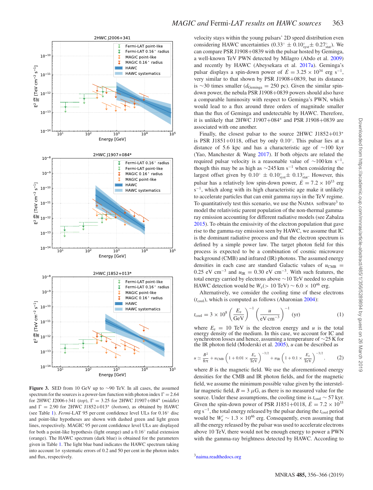<span id="page-7-0"></span>

**Figure 3.** SED from 10 GeV up to ∼90 TeV. In all cases, the assumed spectrum for the sources is a power-law function with photon index  $\Gamma = 2.64$ for 2HWC J2006+341 (*top*), = 3.25 for 2HWC J1907+084<sup>∗</sup> (*middle*) and  $\Gamma = 2.90$  for 2HWC J1852+013<sup>\*</sup> (*bottom*), as obtained by HAWC (see Table [1\)](#page-3-0). *Fermi*-LAT 95 per cent confidence level ULs for 0.16◦ disc and point-like hypotheses are shown with dashed green and light green lines, respectively. MAGIC 95 per cent confidence level ULs are displayed for both a point-like hypothesis (light orange) and a 0.16◦ radial extension (orange). The HAWC spectrum (dark blue) is obtained for the parameters given in Table [1.](#page-3-0) The light blue band indicates the HAWC spectrum taking into account  $1\sigma$  systematic errors of 0.2 and 50 per cent in the photon index and flux, respectively.

velocity stays within the young pulsars' 2D speed distribution even considering HAWC uncertainties  $(0.33° \pm 0.10°<sub>syst</sub> \pm 0.27°<sub>stat</sub>)$ . We can compare PSR J1908+0839 with the pulsar hosted by Geminga, a well-known TeV PWN detected by Milagro (Abdo et al. [2009\)](#page-9-71) and recently by HAWC (Abeysekara et al. [2017a\)](#page-9-72). Geminga's pulsar displays a spin-down power of  $\dot{E} = 3.25 \times 10^{34}$  erg s<sup>-1</sup>, very similar to that shown by PSR J1908+0839, but its distance is ∼30 times smaller ( $d_{\text{Geminga}} = 250$  pc). Given the similar spindown power, the nebula PSR J1908+0839 powers should also have a comparable luminosity with respect to Geminga's PWN, which would lead to a flux around three orders of magnitude smaller than the flux of Geminga and undetectable by HAWC. Therefore, it is unlikely that 2HWC J1907+084<sup>∗</sup> and PSR J1908+0839 are associated with one another.

Finally, the closest pulsar to the source 2HWC J1852+013<sup>∗</sup> is PSR J1851+0118, offset by only 0.10◦. This pulsar lies at a distance of 5.6 kpc and has a characteristic age of ∼100 kyr (Yao, Manchester & Wang [2017\)](#page-9-73). If both objects are related the required pulsar velocity is a reasonable value of  $\sim$ 100 km s<sup>-1</sup>, though this may be as high as  $\sim$ 245 km s<sup>-1</sup> when considering the largest offset given by  $0.10^{\circ} \pm 0.10^{\circ}_{syst} \pm 0.13^{\circ}_{stat}$ . However, this pulsar has a relatively low spin-down power,  $\dot{E} = 7.2 \times 10^{33}$  erg s<sup>-1</sup>, which along with its high characteristic age make it unlikely to accelerate particles that can emit gamma rays in the TeV regime. To quantitatively test this scenario, we use the NAIMA software<sup>3</sup> to model the relativistic parent population of the non-thermal gammaray emission accounting for different radiative models (see Zabalza [2015\)](#page-9-74). To obtain the emissivity of the electron population that gave rise to the gamma-ray emission seen by HAWC, we assume that IC is the dominant radiative process and that the electron spectrum is defined by a simple power law. The target photon field for this process is expected to be a combination of cosmic microwave background (CMB) and infrared (IR) photons. The assumed energy densities in each case are standard Galactic values of  $u_{\text{CMB}}$  = 0.25 eV cm<sup>-3</sup> and  $u_{IR} = 0.30$  eV cm<sup>-3</sup>. With such features, the total energy carried by electrons above ∼10 TeV needed to explain HAWC detection would be  $W_e$ (> 10 TeV) ~ 6.0 × 10<sup>46</sup> erg.

Alternatively, we consider the cooling time of these electrons  $(t_{\text{cool}})$ , which is computed as follows (Aharonian [2004\)](#page-9-75):

$$
t_{\rm cool} = 3 \times 10^8 \left(\frac{E_e}{\rm GeV}\right)^{-1} \left(\frac{u}{\rm eV \, cm^{-3}}\right)^{-1} \, (\text{yr}) \tag{1}
$$

where  $E_e = 10$  TeV is the electron energy and *u* is the total energy density of the medium. In this case, we account for IC and synchrotron losses and hence, assuming a temperature of ∼25 K for the IR photon field (Moderski et al. [2005\)](#page-9-76), *u* can be described as

$$
u \simeq \frac{B^2}{8\pi} + u_{\rm CMB} \left( 1 + 0.01 \times \frac{E_{\rm e}}{\rm TeV} \right)^{-3/2} + u_{\rm IR} \left( 1 + 0.1 \times \frac{E_{\rm e}}{\rm TeV} \right)^{-3/2},\tag{2}
$$

where  $B$  is the magnetic field. We use the aforementioned energy densities for the CMB and IR photon fields, and for the magnetic field, we assume the minimum possible value given by the interstellar magnetic field,  $B = 3 \mu$ G, as there is no measured value for the source. Under these assumptions, the cooling time is  $t_{\rm cool} \sim 57$  kyr. Given the spin-down power of PSR J1851+0118,  $\dot{E} = 7.2 \times 10^{33}$ erg s<sup>-1</sup>, the total energy released by the pulsar during the *t*<sub>cool</sub> period would be  $W'_e \sim 1.3 \times 10^{46}$  erg. Consequently, even assuming that all the energy released by the pulsar was used to accelerate electrons above 10 TeV, there would not be enough energy to power a PWN with the gamma-ray brightness detected by HAWC. According to

[3naima.readthedocs.org](file:naima.readthedocs.org)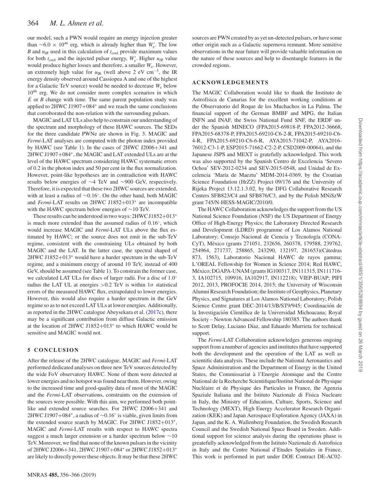our model, such a PWN would require an energy injection greater than  $\sim 6.0 \times 10^{46}$  erg, which is already higher than *W*<sub>e</sub>. The low *B* and  $u_{IR}$  used in this calculation of  $t_{cool}$  provide maximum values for both  $t_{\text{cool}}$  and the injected pulsar energy,  $W'_{e}$ . Higher  $u_{IR}$  value would produce higher losses and therefore, a smaller *W*e. However, an extremely high value for  $u_{IR}$  (well above 2 eV cm<sup>-3</sup>, the IR energy density observed around Cassiopea A and one of the highest for a Galactic TeV source) would be needed to decrease *W*<sup>e</sup> below  $10^{46}$  erg. We do not consider more complex scenarios in which  $\vec{E}$  or *B* change with time. The same parent population study was applied to 2HWC J1907+084<sup>∗</sup> and we reach the same conclusions that corroborated the non-relation with the surrounding pulsars.

MAGIC and LAT ULs also help to constrain our understanding of the spectrum and morphology of these HAWC sources. The SEDs for the three candidate PWNe are shown in Fig. [3.](#page-7-0) MAGIC and *Fermi*-LAT analyses are computed with the photon index provided by HAWC (see Table [1\)](#page-3-0). In the cases of 2HWC J2006+341 and 2HWC J1907+084∗, the MAGIC and LAT extended ULs are at the level of the HAWC spectrum considering HAWC systematic errors of 0.2 in the photon index and 50 per cent in the flux normalization. However, point-like hypotheses are in contradiction with HAWC results below energies of ∼4 TeV and ∼900 GeV, respectively. Therefore, it is expected that these two 2HWC sources are extended, with at least a radius of ∼0.16◦. On the other hand, both MAGIC and *Fermi*-LAT results on 2HWC J1852+013<sup>∗</sup> are incompatible with the HAWC spectrum below energies of ∼10 TeV.

These results can be understood in two ways: 2HWC J1852+013<sup>∗</sup> is much more extended than the assumed radius of 0.16◦, which would increase MAGIC and *Fermi*-LAT ULs above the flux estimated by HAWC; or the source does not emit in the sub-TeV regime, consistent with the constraining ULs obtained by both MAGIC and the LAT. In the latter case, the spectral shaped of 2HWC J1852+013<sup>∗</sup> would have a harder spectrum in the sub-TeV regime, and a minimum energy of around 10 TeV, instead of 400 GeV, should be assumed (see Table [1\)](#page-3-0). To constrain the former case, we calculated LAT ULs for discs of larger radii. For a disc of 1.0◦ radius the LAT UL at energies  $> 0.2$  TeV is within  $1\sigma$  statistical errors of the measured HAWC flux, extrapolated to lower energies. However, this would also require a harder spectrum in the GeV regime so as to not exceed LAT ULs at lower energies. Additionally, as reported in the 2HWC catalogue Abeysekara et al. [\(2017c\)](#page-9-44), there may be a significant contribution from diffuse Galactic emission at the location of 2HWC J1852+013<sup>∗</sup> to which HAWC would be sensitive and MAGIC would not.

# **5 CONCLUSION**

After the release of the 2HWC catalogue, MAGIC and *Fermi*-LAT performed dedicated analyses on three new TeV sources detected by the wide FoV observatory HAWC. None of them were detected at lower energies and no hotspot was found near them. However, owing to the increased time and good-quality data of most of the MAGIC and the *Fermi*-LAT observations, constraints on the extension of the sources were possible. With this aim, we performed both pointlike and extended source searches. For 2HWC J2006+341 and 2HWC J1907+084∗, a radius of ∼0.16◦ is viable, given limits from the extended source search by MAGIC. For 2HWC J1852+013∗, MAGIC and *Fermi*-LAT results with respect to HAWC spectra suggest a much larger extension or a harder spectrum below ∼10 TeV. Moreover, we find that none of the known pulsars in the vicinity of 2HWC J2006+341, 2HWC J1907+084<sup>∗</sup> or 2HWC J1852+013<sup>∗</sup> are likely to directly power these objects. It may be that these 2HWC

sources are PWN created by as yet un-detected pulsars, or have some other origin such as a Galactic supernova remnant. More sensitive observations in the near future will provide valuable information on the nature of these sources and help to disentangle features in the crowded regions.

# **ACKNOWLEDGEMENTS**

The MAGIC Collaboration would like to thank the Instituto de Astrofísica de Canarias for the excellent working conditions at the Observatorio del Roque de los Muchachos in La Palma. The financial support of the German BMBF and MPG, the Italian INFN and INAF, the Swiss National Fund SNF, the ERDF under the Spanish MINECO (FPA2015-69818-P, FPA2012-36668, FPA2015-68378-P, FPA2015-69210-C6-2-R, FPA2015-69210-C6- 4-R, FPA2015-69210-C6-6-R, AYA2015-71042-P, AYA2016- 76012-C3-1-P, ESP2015-71662-C2-2-P, CSD2009-00064), and the Japanese JSPS and MEXT is gratefully acknowledged. This work was also supported by the Spanish Centro de Excelencia 'Severo Ochoa' SEV-2012-0234 and SEV-2015-0548, and Unidad de Excelencia 'María de Maeztu' MDM-2014-0369, by the Croatian Science Foundation (HrZZ) Project 09/176 and the University of Rijeka Project 13.12.1.3.02, by the DFG Collaborative Research Centers SFB823/C4 and SFB876/C3, and by the Polish MNiSzW grant 745/N-HESS-MAGIC/2010/0.

The HAWC Collaboration acknowledges the support from the US National Science Foundation (NSF) the US Department of Energy Office of High-Energy Physics; the Laboratory Directed Research and Development (LDRD) programme of Los Alamos National Laboratory; Consejo Nacional de Ciencia y Tecnología (CONA-CyT), Mexico (grants 271051, 232656, 260378, 179588, 239762, ´ 254964, 271737, 258865, 243290, 132197, 281653)(Cátedras 873, 1563), Laboratorio Nacional HAWC de rayos gamma; L'OREAL Fellowship for Women in Science 2014; Red HAWC, México; DGAPA-UNAM (grants IG100317, IN111315, IN111716-3, IA102715, 109916, IA102917, IN112218); VIEP-BUAP; PIFI 2012, 2013, PROFOCIE 2014, 2015; the University of Wisconsin Alumni Research Foundation; the Institute of Geophysics, Planetary Physics, and Signatures at Los Alamos National Laboratory; Polish Science Centre grant DEC-2014/13/B/ST9/945; Coordinación de la Investigación Científica de la Universidad Michoacana; Royal Society – Newton Advanced Fellowship 180385. The authors thank to Scott Delay, Luciano Díaz, and Eduardo Murrieta for technical support.

The *Fermi*-LAT Collaboration acknowledges generous ongoing support from a number of agencies and institutes that have supported both the development and the operation of the LAT as well as scientific data analysis. These include the National Aeronautics and Space Administration and the Department of Energy in the United States, the Commissariat à l'Energie Atomique and the Centre National de la Recherche Scientifique/Institut National de Physique Nucléaire et de Physique des Particules in France, the Agenzia Spaziale Italiana and the Istituto Nazionale di Fisica Nucleare in Italy, the Ministry of Education, Culture, Sports, Science and Technology (MEXT), High Energy Accelerator Research Organization (KEK) and Japan Aerospace Exploration Agency (JAXA) in Japan, and the K. A. Wallenberg Foundation, the Swedish Research Council and the Swedish National Space Board in Sweden. Additional support for science analysis during the operations phase is greatefully acknowledged from the Istituto Nazionale di Astrofisica in Italy and the Centre National d'Etudes Spatiales in France. This work is performed in part under DOE Contract DE-AC02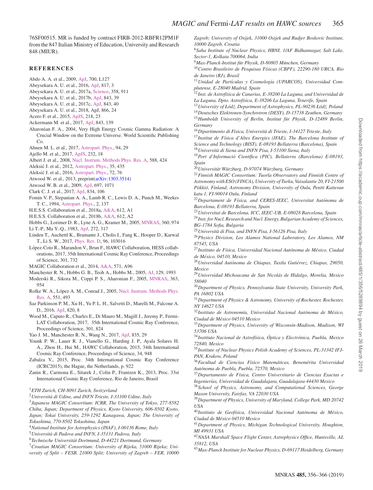76SF00515. MR is funded by contract FIRB-2012-RBFR12PM1F from the 847 Italian Ministry of Education, University and Research 848 (MIUR).

# **REFERENCES**

- <span id="page-9-71"></span>Abdo A. A. et al., 2009, [ApJ,](http://dx.doi.org/10.1088/0004-637X/700/2/L127) 700, L127
- <span id="page-9-43"></span>Abeysekara A. U. et al., 2016, [ApJ,](http://dx.doi.org/10.3847/0004-637X/817/1/3) 817, 3
- <span id="page-9-72"></span>Abeysekara A. U. et al., 2017a, [Science,](http://dx.doi.org/10.1126/science.aan4880) 358, 911
- <span id="page-9-48"></span>Abeysekara A. U. et al., 2017b, [ApJ,](http://dx.doi.org/10.3847/1538-4357/aa7555) 843, 39
- <span id="page-9-44"></span>Abeysekara A. U. et al., 2017c, [ApJ,](http://dx.doi.org/10.3847/1538-4357/aa7556) 843, 40
- <span id="page-9-47"></span>Abeysekara A. U. et al., 2018, ApJ, 866, 24
- <span id="page-9-62"></span>Acero F. et al., 2015, [ApJS,](http://dx.doi.org/10.1088/0067-0049/218/2/23) 218, 23
- <span id="page-9-60"></span>Ackermann M. et al., 2017, [ApJ,](http://dx.doi.org/10.3847/1538-4357/aa775a) 843, 139
- <span id="page-9-75"></span>Aharonian F. A., 2004, Very High Energy Cosmic Gamma Radiation: A Crucial Window on the Extreme Universe. World Scientific Publishing Co.
- <span id="page-9-55"></span>Ahnen M. L. et al., 2017, [Astropart. Phys.,](http://dx.doi.org/10.1016/j.astropartphys.2017.08.001) 94, 29
- <span id="page-9-59"></span>Ajello M. et al., 2017, [ApJS,](http://dx.doi.org/10.3847/1538-4365/aa8221) 232, 18
- <span id="page-9-56"></span>Albert J. et al., 2008, [Nucl. Instrum. Methods Phys. Res. A,](http://dx.doi.org/10.1016/j.nima.2007.11.068) 588, 424
- <span id="page-9-50"></span>Aleksić J. et al., 2012, [Astropart. Phys.,](http://dx.doi.org/10.1016/j.astropartphys.2011.11.007) 35, 435
- <span id="page-9-49"></span>Aleksić J. et al., 2016, [Astropart. Phys.,](http://dx.doi.org/10.1016/j.astropartphys.2015.02.005) 72, 76
- <span id="page-9-58"></span>Atwood W. et al., 2013, preprint[\(arXiv:1303.3514\)](http://adsabs.harvard.edu/abs/2013arXiv1303.3514A)
- <span id="page-9-57"></span>Atwood W. B. et al., 2009, [ApJ,](http://dx.doi.org/10.1088/0004-637X/697/2/1071) 697, 1071
- <span id="page-9-63"></span>Clark C. J. et al., 2017, [ApJ,](http://dx.doi.org/10.3847/1538-4357/834/2/106) 834, 106
- <span id="page-9-54"></span>Fomin V. P., Stepanian A. A., Lamb R. C., Lewis D. A., Punch M., Weekes T. C., 1994, [Astropart. Phys.,](http://dx.doi.org/10.1016/0927-6505(94)90036-1) 2, 137
- <span id="page-9-66"></span>H.E.S.S. Collaboration et al., 2018a, [A&A,](http://dx.doi.org/10.1051/0004-6361/201732098) 612, A1
- <span id="page-9-68"></span>H.E.S.S. Collaboration et al., 2018b, [A&A,](http://dx.doi.org/10.1051/0004-6361/201629377) 612, A2
- <span id="page-9-69"></span>Hobbs G., Lorimer D. R., Lyne A. G., Kramer M., 2005, [MNRAS,](http://dx.doi.org/10.1111/j.1365-2966.2005.09087.x) 360, 974 Li T.-P., Ma Y.-Q., 1983, [ApJ,](http://dx.doi.org/10.1086/161295) 272, 317
- <span id="page-9-70"></span><span id="page-9-52"></span>Linden T., Auchettl K., Bramante J., Cholis I., Fang K., Hooper D., Karwal T., Li S. W., 2017, [Phys. Rev. D,](http://dx.doi.org/10.1103/PhysRevD.96.103016) 96, 103016
- <span id="page-9-46"></span>López-Coto R., Marandon V., Brun F., HAWC Collaboration, HESS collaborations, 2017, 35th International Cosmic Ray Conference, Proceedings of Science, 301, 732
- <span id="page-9-64"></span>MAGIC Collaboration et al., 2014, [A&A,](http://dx.doi.org/10.1051/0004-6361/201423517) 571, A96
- <span id="page-9-67"></span>Manchester R. N., Hobbs G. B., Teoh A., Hobbs M., 2005, [AJ,](http://dx.doi.org/10.1086/428488) 129, 1993
- <span id="page-9-76"></span>Moderski R., Sikora M., Coppi P. S., Aharonian F., 2005, [MNRAS,](http://dx.doi.org/10.1111/j.1365-2966.2005.09494.x) 363, 954
- <span id="page-9-53"></span>Rolke W. A., López A. M., Conrad J., 2005, Nucl. Instrum. Methods Phys. Res. A, 551, 493
- <span id="page-9-65"></span>Saz Parkinson P. M., Xu H., Yu P. L. H., Salvetti D., Marelli M., Falcone A. D., 2016, [ApJ,](http://dx.doi.org/10.3847/0004-637X/820/1/8) 820, 8
- <span id="page-9-61"></span>Wood M., Caputo R., Charles E., Di Mauro M., Magill J., Jeremy P., Fermi-LAT Collaboration, 2017, 35th International Cosmic Ray Conference, Proceedings of Science, 301, 824
- <span id="page-9-73"></span>Yao J. M., Manchester R. N., Wang N., 2017, [ApJ,](http://dx.doi.org/10.3847/1538-4357/835/1/29) 835, 29
- <span id="page-9-45"></span>Younk P. W., Lauer R. J., Vianello G., Harding J. P., Ayala Solares H. A., Zhou H., Hui M., HAWC Collaboration, 2015, 34th International Cosmic Ray Conference, Proceedings of Science, 34, 948
- <span id="page-9-74"></span>Zabalza V., 2015, Proc. 34th International Cosmic Ray Conference (ICRC2015), the Hague, the Netherlands, p. 922
- <span id="page-9-51"></span>Zanin R., Carmona E., Sitarek J., Colin P., Frantzen K., 2013, Proc. 33st International Cosmic Ray Conference, Rio de Janeiro, Brasil
- <span id="page-9-0"></span><sup>1</sup>*ETH Zurich, CH-8093 Zurich, Switzerland*
- <span id="page-9-1"></span><sup>2</sup>*Universita di Udine, and INFN Trieste, I-33100 Udine, Italy `*
- <span id="page-9-2"></span><sup>3</sup>*Japanese MAGIC Consortium: ICRR, The University of Tokyo, 277-8582 Chiba, Japan; Department of Physics, Kyoto University, 606-8502 Kyoto,*
- *Japan; Tokai University, 259-1292 Kanagawa, Japan; The University of*
- *Tokushima, 770-8502 Tokushima, Japan* <sup>4</sup>*National Institute for Astrophysics (INAF), I-00136 Rome, Italy*
- <span id="page-9-3"></span><sup>5</sup>*Universita di Padova and INFN, I-35131 Padova, Italy `*
- <span id="page-9-4"></span>
- <span id="page-9-5"></span><sup>6</sup>*Technische Universitat Dortmund, D-44221 Dortmund, Germany ¨*
- <span id="page-9-6"></span><sup>7</sup>*Croatian MAGIC Consortium: University of Rijeka, 51000 Rijeka; University of Split – FESB, 21000 Split; University of Zagreb – FER, 10000*

*Zagreb; University of Osijek, 31000 Osijek and Rudjer Boskovic Institute, 10000 Zagreb, Croatia*

<span id="page-9-7"></span><sup>8</sup>*Saha Institute of Nuclear Physics, HBNI, 1/AF Bidhannagar, Salt Lake, Sector-1, Kolkata 700064, India*

<span id="page-9-8"></span><sup>9</sup>*Max-Planck-Institut fur Physik, D-80805 M ¨ unchen, Germany ¨*

- <span id="page-9-9"></span><sup>10</sup>*Centro Brasileiro de Pesquisas F´ısicas (CBPF), 22290-180 URCA, Rio de Janeiro (RJ), Brasil*
- <span id="page-9-10"></span><sup>11</sup> Unidad de Partículas y Cosmología (UPARCOS), Universidad Com*plutense, E-28040 Madrid, Spain*
- <span id="page-9-11"></span><sup>12</sup>*Inst. de Astrof´ısica de Canarias, E-38200 La Laguna, and Universidad de La Laguna, Dpto. Astrof´ısica, E-38206 La Laguna, Tenerife, Spain*
- <span id="page-9-12"></span>13 University of Łódź, Department of Astrophysics, PL-90236 Łódź, Poland
- <span id="page-9-14"></span><span id="page-9-13"></span><sup>14</sup>*Deutsches Elektronen-Synchrotron (DESY), D-15738 Zeuthen, Germany* <sup>15</sup> Humboldt University of Berlin, Institut für Physik, D-12489 Berlin, *Germany*
- <span id="page-9-15"></span><sup>16</sup>*Dipartimento di Fisica, Universita di Trieste, I-34127 Trieste, Italy `* <sup>17</sup>Institut de Física d'Altes Energies (IFAE), The Barcelona Institute of *Science and Technology (BIST), E-08193 Bellaterra (Barcelona), Spain*
- <span id="page-9-16"></span><sup>18</sup>*Universita di Siena and INFN Pisa, I-53100 Siena, Italy `*
- <span id="page-9-18"></span><span id="page-9-17"></span><sup>19</sup> Port d'Informació Científica (PIC), Bellaterra (Barcelona) E-08193, *Spain*
- <span id="page-9-19"></span><sup>20</sup>*Universitat W¨ urzburg, D-97074 W ¨ urzburg, Germany ¨*
- <span id="page-9-20"></span><sup>21</sup>*Finnish MAGIC Consortium: Tuorla Observatory and Finnish Centre of Astronomy with ESO (FINCA), University of Turku, Vaisalantie 20, FI-21500 Piikkio, Finland; Astronomy Division, University of Oulu, Pentti Kaiteran ¨ katu 1, FI-90014 Oulu, Finland*
- <span id="page-9-21"></span><sup>22</sup> Departament de Física, and CERES-IEEC, Universitat Autónoma de *Barcelona, E-08193 Bellaterra, Spain*
- <span id="page-9-23"></span><span id="page-9-22"></span><sup>23</sup>*Universitat de Barcelona, ICC, IEEC-UB, E-08028 Barcelona, Spain* <sup>24</sup>*Inst. for Nucl. Research and Nucl. Energy, Bulgarian Academy of Sciences, BG-1784 Sofia, Bulgaria*
- <span id="page-9-24"></span><sup>25</sup>*Universita di Pisa, and INFN Pisa, I-56126 Pisa, Italy `*
- <span id="page-9-25"></span><sup>26</sup>*Physics Division, Los Alamos National Laboratory, Los Alamos, NM 87545, USA*
- <span id="page-9-26"></span><sup>27</sup>*Instituto de F´ısica, Universidad Nacional Autonoma de M ´ exico, Ciudad ´ de Mexico, 04510, Mexico ´*
- <span id="page-9-27"></span><sup>28</sup>*Universidad Autonoma de Chiapas, Tuxtla Guti ´ errez, Chiapas, 29050, ´ Mexico*
- <span id="page-9-28"></span><sup>29</sup>*Universidad Michoacana de San Nicolas de Hidalgo, Morelia, Mexico ´ 58040*
- <span id="page-9-29"></span><sup>30</sup>*Department of Physics, Pennsylvania State University, University Park, PA 16802 USA*
- <span id="page-9-30"></span><sup>31</sup>*Department of Physics & Astronomy, University of Rochester, Rochester, NY 14627 USA*
- <span id="page-9-31"></span>32Instituto de Astronomía, Universidad Nacional Autónoma de México, *Ciudad de Mexico 04510 Mexico ´*
- <span id="page-9-32"></span><sup>33</sup>*Department of Physics, University of Wisconsin-Madison, Madison, WI 53706 USA*
- <span id="page-9-33"></span><sup>34</sup>*Instituto Nacional de Astrof´ısica, Optica y Electr ´ onica, Puebla, Mexico ´ 72840, Mexico*
- <span id="page-9-34"></span><sup>35</sup>*Institute of Nuclear Physics Polish Academy of Sciences, PL-31342 IFJ-PAN, Krakow, Poland*
- <span id="page-9-35"></span><sup>36</sup> Facultad de Ciencias Físico Matemáticas, Benemérita Universidad *Autonoma de Puebla, Puebla, 72570, Mexico ´*
- <span id="page-9-36"></span><sup>37</sup>*Departamento de F´ısica, Centro Universitario de Ciencias Exactas e Ingenier´ıas, Universidad de Guadalajara, Guadalajara 44430 Mexico*
- <span id="page-9-37"></span><sup>38</sup>*School of Physics, Astronomy, and Computational Sciences, George Mason University, Fairfax, VA 22030 USA*
- <span id="page-9-38"></span><sup>39</sup>*Department of Physics, University of Maryland, College Park, MD 20742 USA*
- <span id="page-9-39"></span><sup>40</sup>Instituto de Geofísica, Universidad Nacional Autónoma de México, *Ciudad de Mexico 04510 Mexico ´*
- <span id="page-9-40"></span><sup>41</sup>*Department of Physics, Michigan Technological University, Houghton, MI 49931 USA*
- <span id="page-9-41"></span><sup>42</sup>*NASA Marshall Space Flight Center, Astrophysics Office, Huntsville, AL 35812, USA*
- <span id="page-9-42"></span><sup>43</sup>*Max-Planck Institute for Nuclear Physics, D-69117 Heidelberg, Germany*